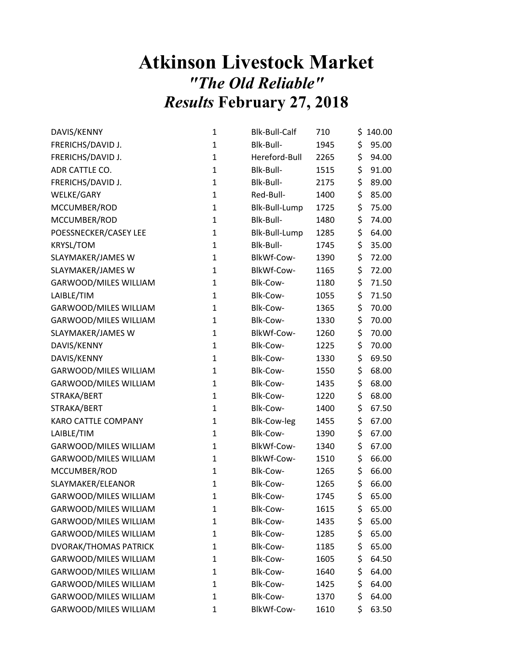## Atkinson Livestock Market "The Old Reliable" Results February 27, 2018

| DAVIS/KENNY                  | $\mathbf{1}$ | <b>Blk-Bull-Calf</b> | 710  | \$<br>140.00 |
|------------------------------|--------------|----------------------|------|--------------|
| FRERICHS/DAVID J.            | $\mathbf{1}$ | Blk-Bull-            | 1945 | \$<br>95.00  |
| FRERICHS/DAVID J.            | $\mathbf{1}$ | Hereford-Bull        | 2265 | \$<br>94.00  |
| ADR CATTLE CO.               | $\mathbf{1}$ | Blk-Bull-            | 1515 | \$<br>91.00  |
| FRERICHS/DAVID J.            | $\mathbf{1}$ | Blk-Bull-            | 2175 | \$<br>89.00  |
| WELKE/GARY                   | $\mathbf{1}$ | Red-Bull-            | 1400 | \$<br>85.00  |
| MCCUMBER/ROD                 | $\mathbf{1}$ | Blk-Bull-Lump        | 1725 | \$<br>75.00  |
| MCCUMBER/ROD                 | $\mathbf{1}$ | Blk-Bull-            | 1480 | \$<br>74.00  |
| POESSNECKER/CASEY LEE        | $\mathbf{1}$ | Blk-Bull-Lump        | 1285 | \$<br>64.00  |
| <b>KRYSL/TOM</b>             | $\mathbf{1}$ | Blk-Bull-            | 1745 | \$<br>35.00  |
| SLAYMAKER/JAMES W            | $\mathbf{1}$ | BlkWf-Cow-           | 1390 | \$<br>72.00  |
| SLAYMAKER/JAMES W            | $\mathbf{1}$ | BlkWf-Cow-           | 1165 | \$<br>72.00  |
| GARWOOD/MILES WILLIAM        | $\mathbf{1}$ | Blk-Cow-             | 1180 | \$<br>71.50  |
| LAIBLE/TIM                   | $\mathbf{1}$ | Blk-Cow-             | 1055 | \$<br>71.50  |
| GARWOOD/MILES WILLIAM        | $\mathbf{1}$ | Blk-Cow-             | 1365 | \$<br>70.00  |
| GARWOOD/MILES WILLIAM        | $\mathbf{1}$ | Blk-Cow-             | 1330 | \$<br>70.00  |
| SLAYMAKER/JAMES W            | $\mathbf{1}$ | BlkWf-Cow-           | 1260 | \$<br>70.00  |
| DAVIS/KENNY                  | $\mathbf{1}$ | Blk-Cow-             | 1225 | \$<br>70.00  |
| DAVIS/KENNY                  | $\mathbf{1}$ | Blk-Cow-             | 1330 | \$<br>69.50  |
| <b>GARWOOD/MILES WILLIAM</b> | $\mathbf{1}$ | Blk-Cow-             | 1550 | \$<br>68.00  |
| GARWOOD/MILES WILLIAM        | $\mathbf{1}$ | Blk-Cow-             | 1435 | \$<br>68.00  |
| STRAKA/BERT                  | $\mathbf{1}$ | Blk-Cow-             | 1220 | \$<br>68.00  |
| STRAKA/BERT                  | $\mathbf{1}$ | Blk-Cow-             | 1400 | \$<br>67.50  |
| KARO CATTLE COMPANY          | $\mathbf{1}$ | <b>Blk-Cow-leg</b>   | 1455 | \$<br>67.00  |
| LAIBLE/TIM                   | $\mathbf{1}$ | Blk-Cow-             | 1390 | \$<br>67.00  |
| GARWOOD/MILES WILLIAM        | $\mathbf{1}$ | BlkWf-Cow-           | 1340 | \$<br>67.00  |
| GARWOOD/MILES WILLIAM        | $\mathbf{1}$ | BlkWf-Cow-           | 1510 | \$<br>66.00  |
| MCCUMBER/ROD                 | $\mathbf{1}$ | Blk-Cow-             | 1265 | \$<br>66.00  |
| SLAYMAKER/ELEANOR            | $\mathbf{1}$ | Blk-Cow-             | 1265 | \$<br>66.00  |
| GARWOOD/MILES WILLIAM        | $\mathbf{1}$ | Blk-Cow-             | 1745 | \$<br>65.00  |
| GARWOOD/MILES WILLIAM        | $\mathbf{1}$ | Blk-Cow-             | 1615 | \$<br>65.00  |
| GARWOOD/MILES WILLIAM        | 1            | Blk-Cow-             | 1435 | \$<br>65.00  |
| GARWOOD/MILES WILLIAM        | $\mathbf{1}$ | Blk-Cow-             | 1285 | \$<br>65.00  |
| <b>DVORAK/THOMAS PATRICK</b> | $\mathbf{1}$ | Blk-Cow-             | 1185 | \$<br>65.00  |
| GARWOOD/MILES WILLIAM        | 1            | Blk-Cow-             | 1605 | \$<br>64.50  |
| GARWOOD/MILES WILLIAM        | 1            | Blk-Cow-             | 1640 | \$<br>64.00  |
| GARWOOD/MILES WILLIAM        | 1            | Blk-Cow-             | 1425 | \$<br>64.00  |
| <b>GARWOOD/MILES WILLIAM</b> | $\mathbf{1}$ | Blk-Cow-             | 1370 | \$<br>64.00  |
| GARWOOD/MILES WILLIAM        | $\mathbf{1}$ | BlkWf-Cow-           | 1610 | \$<br>63.50  |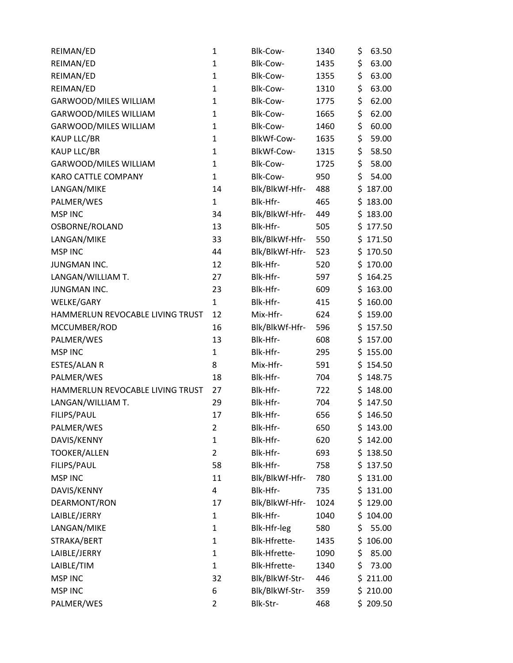| REIMAN/ED                        | 1              | Blk-Cow-       | 1340 | \$<br>63.50  |
|----------------------------------|----------------|----------------|------|--------------|
| REIMAN/ED                        | $\mathbf{1}$   | Blk-Cow-       | 1435 | \$<br>63.00  |
| REIMAN/ED                        | $\mathbf{1}$   | Blk-Cow-       | 1355 | \$<br>63.00  |
| REIMAN/ED                        | $\mathbf{1}$   | Blk-Cow-       | 1310 | \$<br>63.00  |
| GARWOOD/MILES WILLIAM            | $\mathbf{1}$   | Blk-Cow-       | 1775 | \$<br>62.00  |
| GARWOOD/MILES WILLIAM            | 1              | Blk-Cow-       | 1665 | \$<br>62.00  |
| GARWOOD/MILES WILLIAM            | $\mathbf{1}$   | Blk-Cow-       | 1460 | \$<br>60.00  |
| <b>KAUP LLC/BR</b>               | $\mathbf{1}$   | BlkWf-Cow-     | 1635 | \$<br>59.00  |
| <b>KAUP LLC/BR</b>               | $\mathbf{1}$   | BlkWf-Cow-     | 1315 | \$<br>58.50  |
| GARWOOD/MILES WILLIAM            | 1              | Blk-Cow-       | 1725 | \$<br>58.00  |
| KARO CATTLE COMPANY              | $\mathbf{1}$   | Blk-Cow-       | 950  | \$<br>54.00  |
| LANGAN/MIKE                      | 14             | Blk/BlkWf-Hfr- | 488  | \$<br>187.00 |
| PALMER/WES                       | $\mathbf{1}$   | Blk-Hfr-       | 465  | \$183.00     |
| <b>MSP INC</b>                   | 34             | Blk/BlkWf-Hfr- | 449  | \$183.00     |
| OSBORNE/ROLAND                   | 13             | Blk-Hfr-       | 505  | \$177.50     |
| LANGAN/MIKE                      | 33             | Blk/BlkWf-Hfr- | 550  | \$<br>171.50 |
| <b>MSP INC</b>                   | 44             | Blk/BlkWf-Hfr- | 523  | \$170.50     |
| <b>JUNGMAN INC.</b>              | 12             | Blk-Hfr-       | 520  | \$170.00     |
| LANGAN/WILLIAM T.                | 27             | Blk-Hfr-       | 597  | \$164.25     |
| JUNGMAN INC.                     | 23             | Blk-Hfr-       | 609  | \$163.00     |
| WELKE/GARY                       | $\mathbf{1}$   | Blk-Hfr-       | 415  | \$160.00     |
| HAMMERLUN REVOCABLE LIVING TRUST | 12             | Mix-Hfr-       | 624  | \$159.00     |
| MCCUMBER/ROD                     | 16             | Blk/BlkWf-Hfr- | 596  | \$157.50     |
| PALMER/WES                       | 13             | Blk-Hfr-       | 608  | \$157.00     |
| <b>MSP INC</b>                   | $\mathbf{1}$   | Blk-Hfr-       | 295  | \$155.00     |
| ESTES/ALAN R                     | 8              | Mix-Hfr-       | 591  | \$154.50     |
| PALMER/WES                       | 18             | Blk-Hfr-       | 704  | \$148.75     |
| HAMMERLUN REVOCABLE LIVING TRUST | 27             | Blk-Hfr-       | 722  | \$148.00     |
| LANGAN/WILLIAM T.                | 29             | Blk-Hfr-       | 704  | \$147.50     |
| FILIPS/PAUL                      | 17             | Blk-Hfr-       | 656  | \$146.50     |
| PALMER/WES                       | $\overline{2}$ | Blk-Hfr-       | 650  | \$143.00     |
| DAVIS/KENNY                      | $\mathbf{1}$   | Blk-Hfr-       | 620  | \$142.00     |
| <b>TOOKER/ALLEN</b>              | $\overline{2}$ | Blk-Hfr-       | 693  | \$138.50     |
| FILIPS/PAUL                      | 58             | Blk-Hfr-       | 758  | \$137.50     |
| <b>MSP INC</b>                   | 11             | Blk/BlkWf-Hfr- | 780  | \$131.00     |
| DAVIS/KENNY                      | 4              | Blk-Hfr-       | 735  | \$131.00     |
| DEARMONT/RON                     | 17             | Blk/BlkWf-Hfr- | 1024 | \$129.00     |
| LAIBLE/JERRY                     | $\mathbf{1}$   | Blk-Hfr-       | 1040 | \$104.00     |
| LANGAN/MIKE                      | $\mathbf{1}$   | Blk-Hfr-leg    | 580  | \$<br>55.00  |
| STRAKA/BERT                      | $\mathbf{1}$   | Blk-Hfrette-   | 1435 | \$106.00     |
| LAIBLE/JERRY                     | $\mathbf{1}$   | Blk-Hfrette-   | 1090 | \$<br>85.00  |
| LAIBLE/TIM                       | $\mathbf{1}$   | Blk-Hfrette-   | 1340 | \$<br>73.00  |
| <b>MSP INC</b>                   | 32             | Blk/BlkWf-Str- | 446  | \$211.00     |
| <b>MSP INC</b>                   | 6              | Blk/BlkWf-Str- | 359  | \$210.00     |
| PALMER/WES                       | 2              | Blk-Str-       | 468  | \$209.50     |